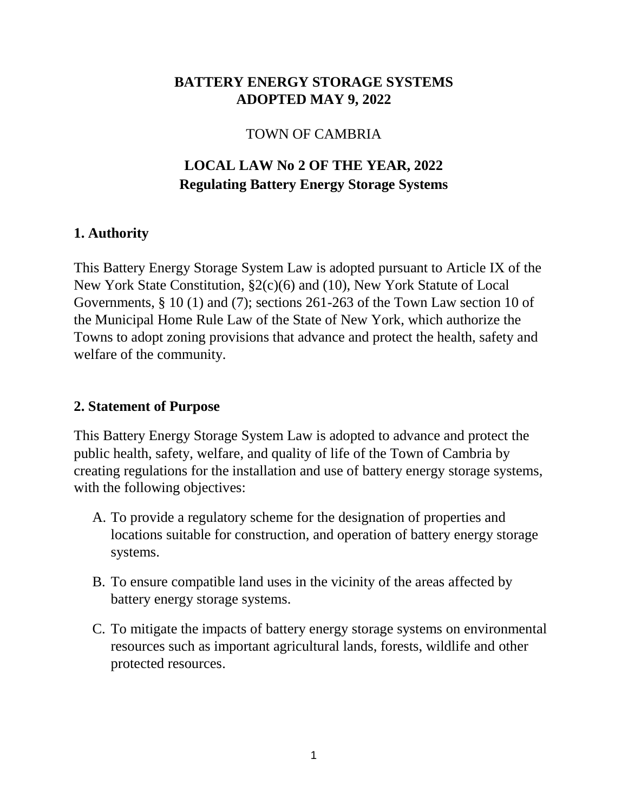### **BATTERY ENERGY STORAGE SYSTEMS ADOPTED MAY 9, 2022**

#### TOWN OF CAMBRIA

# **LOCAL LAW No 2 OF THE YEAR, 2022 Regulating Battery Energy Storage Systems**

### **1. Authority**

This Battery Energy Storage System Law is adopted pursuant to Article IX of the New York State Constitution, §2(c)(6) and (10), New York Statute of Local Governments, § 10 (1) and (7); sections 261-263 of the Town Law section 10 of the Municipal Home Rule Law of the State of New York, which authorize the Towns to adopt zoning provisions that advance and protect the health, safety and welfare of the community.

#### **2. Statement of Purpose**

This Battery Energy Storage System Law is adopted to advance and protect the public health, safety, welfare, and quality of life of the Town of Cambria by creating regulations for the installation and use of battery energy storage systems, with the following objectives:

- A. To provide a regulatory scheme for the designation of properties and locations suitable for construction, and operation of battery energy storage systems.
- B. To ensure compatible land uses in the vicinity of the areas affected by battery energy storage systems.
- C. To mitigate the impacts of battery energy storage systems on environmental resources such as important agricultural lands, forests, wildlife and other protected resources.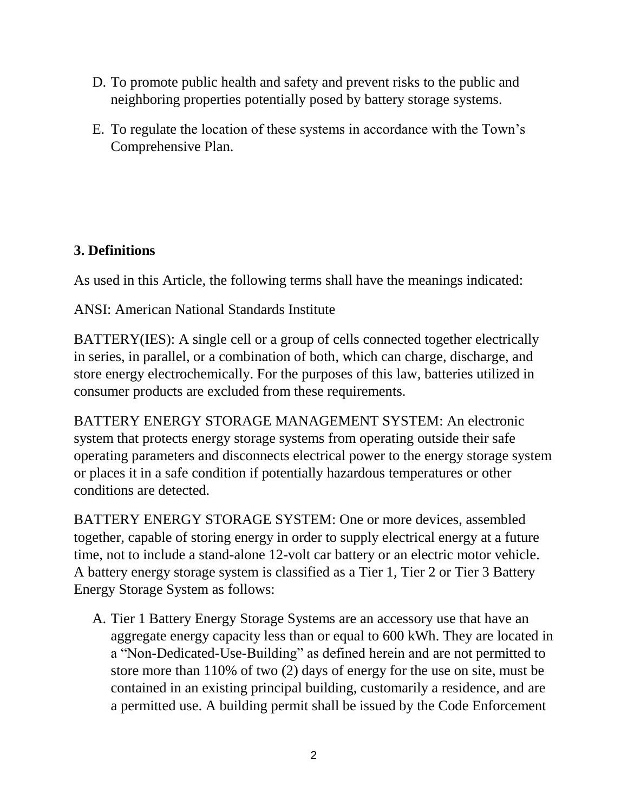- D. To promote public health and safety and prevent risks to the public and neighboring properties potentially posed by battery storage systems.
- E. To regulate the location of these systems in accordance with the Town's Comprehensive Plan.

### **3. Definitions**

As used in this Article, the following terms shall have the meanings indicated:

ANSI: American National Standards Institute

BATTERY(IES): A single cell or a group of cells connected together electrically in series, in parallel, or a combination of both, which can charge, discharge, and store energy electrochemically. For the purposes of this law, batteries utilized in consumer products are excluded from these requirements.

BATTERY ENERGY STORAGE MANAGEMENT SYSTEM: An electronic system that protects energy storage systems from operating outside their safe operating parameters and disconnects electrical power to the energy storage system or places it in a safe condition if potentially hazardous temperatures or other conditions are detected.

BATTERY ENERGY STORAGE SYSTEM: One or more devices, assembled together, capable of storing energy in order to supply electrical energy at a future time, not to include a stand-alone 12-volt car battery or an electric motor vehicle. A battery energy storage system is classified as a Tier 1, Tier 2 or Tier 3 Battery Energy Storage System as follows:

A. Tier 1 Battery Energy Storage Systems are an accessory use that have an aggregate energy capacity less than or equal to 600 kWh. They are located in a "Non-Dedicated-Use-Building" as defined herein and are not permitted to store more than 110% of two (2) days of energy for the use on site, must be contained in an existing principal building, customarily a residence, and are a permitted use. A building permit shall be issued by the Code Enforcement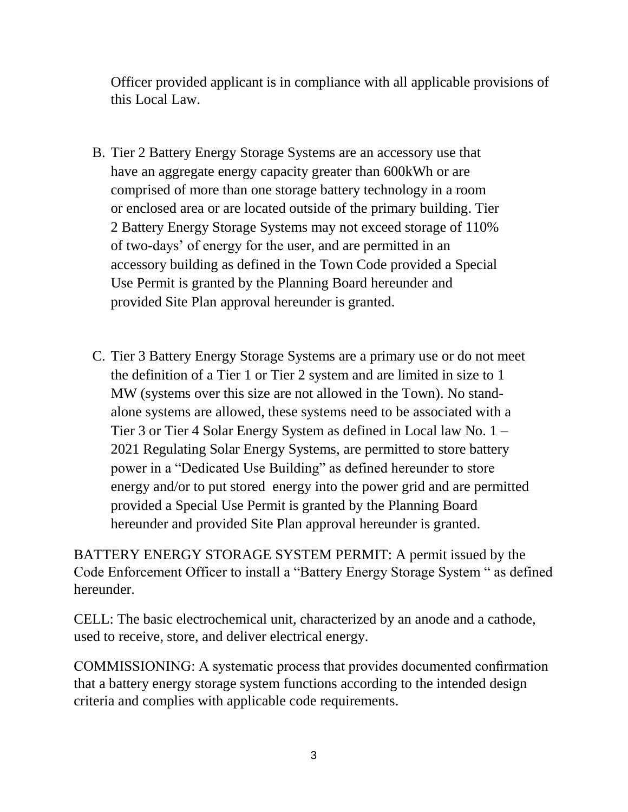Officer provided applicant is in compliance with all applicable provisions of this Local Law.

- B. Tier 2 Battery Energy Storage Systems are an accessory use that have an aggregate energy capacity greater than 600kWh or are comprised of more than one storage battery technology in a room or enclosed area or are located outside of the primary building. Tier 2 Battery Energy Storage Systems may not exceed storage of 110% of two-days' of energy for the user, and are permitted in an accessory building as defined in the Town Code provided a Special Use Permit is granted by the Planning Board hereunder and provided Site Plan approval hereunder is granted.
- C. Tier 3 Battery Energy Storage Systems are a primary use or do not meet the definition of a Tier 1 or Tier 2 system and are limited in size to 1 MW (systems over this size are not allowed in the Town). No standalone systems are allowed, these systems need to be associated with a Tier 3 or Tier 4 Solar Energy System as defined in Local law No. 1 – 2021 Regulating Solar Energy Systems, are permitted to store battery power in a "Dedicated Use Building" as defined hereunder to store energy and/or to put stored energy into the power grid and are permitted provided a Special Use Permit is granted by the Planning Board hereunder and provided Site Plan approval hereunder is granted.

BATTERY ENERGY STORAGE SYSTEM PERMIT: A permit issued by the Code Enforcement Officer to install a "Battery Energy Storage System " as defined hereunder.

CELL: The basic electrochemical unit, characterized by an anode and a cathode, used to receive, store, and deliver electrical energy.

COMMISSIONING: A systematic process that provides documented confirmation that a battery energy storage system functions according to the intended design criteria and complies with applicable code requirements.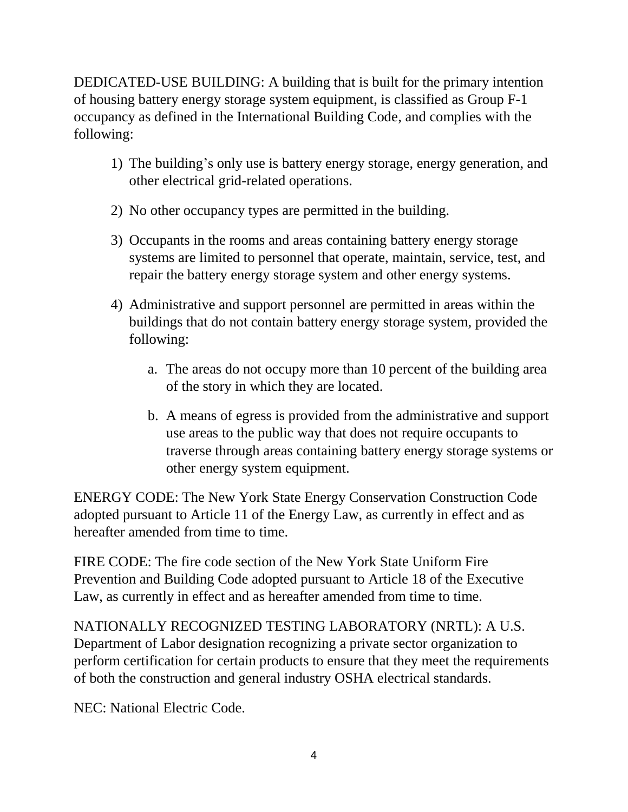DEDICATED-USE BUILDING: A building that is built for the primary intention of housing battery energy storage system equipment, is classified as Group F-1 occupancy as defined in the International Building Code, and complies with the following:

- 1) The building's only use is battery energy storage, energy generation, and other electrical grid-related operations.
- 2) No other occupancy types are permitted in the building.
- 3) Occupants in the rooms and areas containing battery energy storage systems are limited to personnel that operate, maintain, service, test, and repair the battery energy storage system and other energy systems.
- 4) Administrative and support personnel are permitted in areas within the buildings that do not contain battery energy storage system, provided the following:
	- a. The areas do not occupy more than 10 percent of the building area of the story in which they are located.
	- b. A means of egress is provided from the administrative and support use areas to the public way that does not require occupants to traverse through areas containing battery energy storage systems or other energy system equipment.

ENERGY CODE: The New York State Energy Conservation Construction Code adopted pursuant to Article 11 of the Energy Law, as currently in effect and as hereafter amended from time to time.

FIRE CODE: The fire code section of the New York State Uniform Fire Prevention and Building Code adopted pursuant to Article 18 of the Executive Law, as currently in effect and as hereafter amended from time to time.

NATIONALLY RECOGNIZED TESTING LABORATORY (NRTL): A U.S. Department of Labor designation recognizing a private sector organization to perform certification for certain products to ensure that they meet the requirements of both the construction and general industry OSHA electrical standards.

NEC: National Electric Code.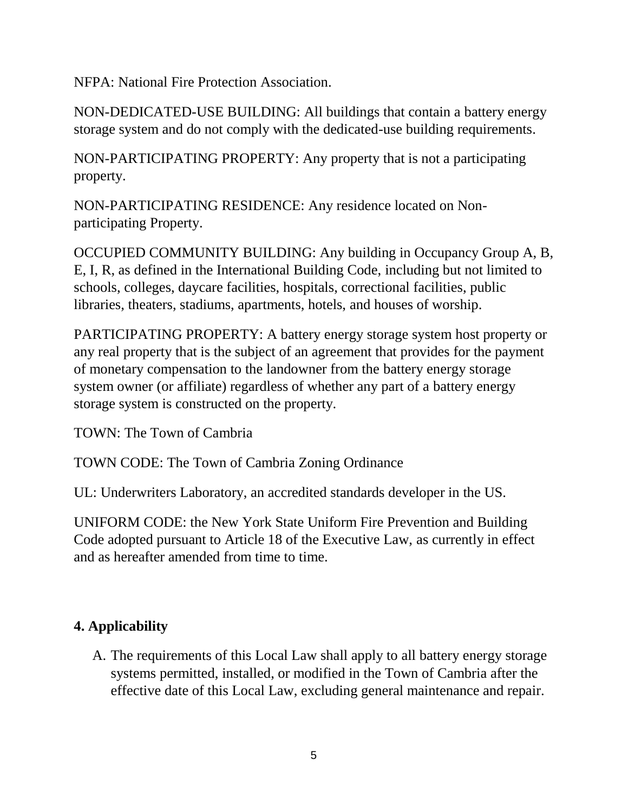NFPA: National Fire Protection Association.

NON-DEDICATED-USE BUILDING: All buildings that contain a battery energy storage system and do not comply with the dedicated-use building requirements.

NON-PARTICIPATING PROPERTY: Any property that is not a participating property.

NON-PARTICIPATING RESIDENCE: Any residence located on Nonparticipating Property.

OCCUPIED COMMUNITY BUILDING: Any building in Occupancy Group A, B, E, I, R, as defined in the International Building Code, including but not limited to schools, colleges, daycare facilities, hospitals, correctional facilities, public libraries, theaters, stadiums, apartments, hotels, and houses of worship.

PARTICIPATING PROPERTY: A battery energy storage system host property or any real property that is the subject of an agreement that provides for the payment of monetary compensation to the landowner from the battery energy storage system owner (or affiliate) regardless of whether any part of a battery energy storage system is constructed on the property.

TOWN: The Town of Cambria

TOWN CODE: The Town of Cambria Zoning Ordinance

UL: Underwriters Laboratory, an accredited standards developer in the US.

UNIFORM CODE: the New York State Uniform Fire Prevention and Building Code adopted pursuant to Article 18 of the Executive Law, as currently in effect and as hereafter amended from time to time.

## **4. Applicability**

A. The requirements of this Local Law shall apply to all battery energy storage systems permitted, installed, or modified in the Town of Cambria after the effective date of this Local Law, excluding general maintenance and repair.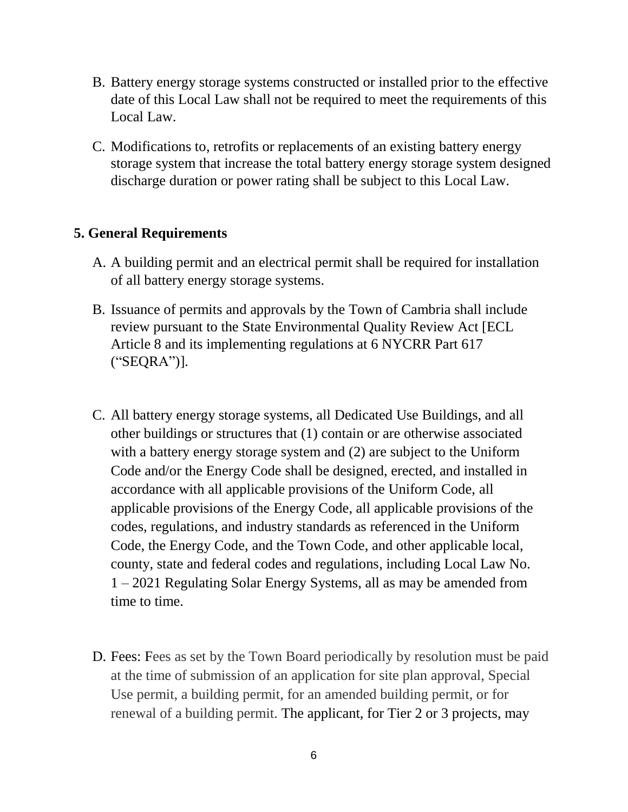- B. Battery energy storage systems constructed or installed prior to the effective date of this Local Law shall not be required to meet the requirements of this Local Law.
- C. Modifications to, retrofits or replacements of an existing battery energy storage system that increase the total battery energy storage system designed discharge duration or power rating shall be subject to this Local Law.

#### **5. General Requirements**

- A. A building permit and an electrical permit shall be required for installation of all battery energy storage systems.
- B. Issuance of permits and approvals by the Town of Cambria shall include review pursuant to the State Environmental Quality Review Act [ECL Article 8 and its implementing regulations at 6 NYCRR Part 617 ("SEQRA")].
- C. All battery energy storage systems, all Dedicated Use Buildings, and all other buildings or structures that (1) contain or are otherwise associated with a battery energy storage system and (2) are subject to the Uniform Code and/or the Energy Code shall be designed, erected, and installed in accordance with all applicable provisions of the Uniform Code, all applicable provisions of the Energy Code, all applicable provisions of the codes, regulations, and industry standards as referenced in the Uniform Code, the Energy Code, and the Town Code, and other applicable local, county, state and federal codes and regulations, including Local Law No. 1 – 2021 Regulating Solar Energy Systems, all as may be amended from time to time.
- D. Fees: Fees as set by the Town Board periodically by resolution must be paid at the time of submission of an application for site plan approval, Special Use permit, a building permit, for an amended building permit, or for renewal of a building permit. The applicant, for Tier 2 or 3 projects, may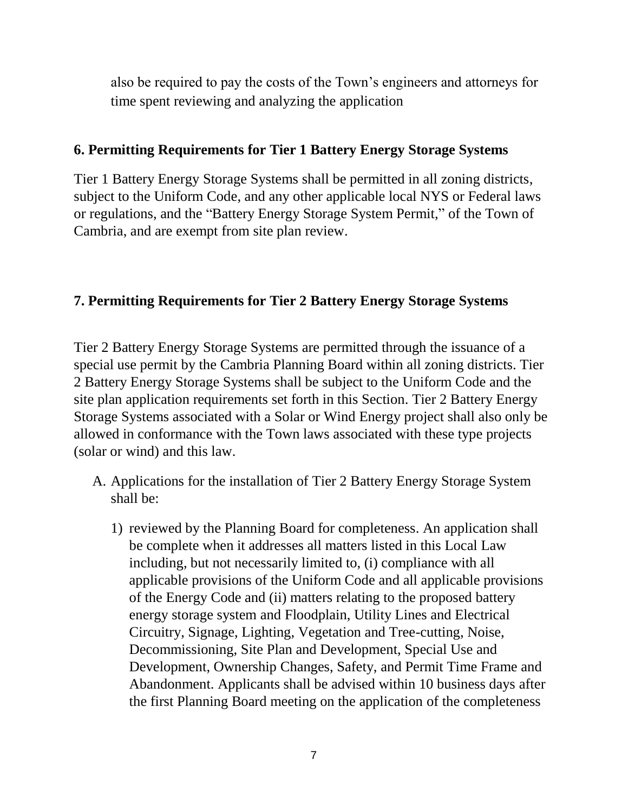also be required to pay the costs of the Town's engineers and attorneys for time spent reviewing and analyzing the application

#### **6. Permitting Requirements for Tier 1 Battery Energy Storage Systems**

Tier 1 Battery Energy Storage Systems shall be permitted in all zoning districts, subject to the Uniform Code, and any other applicable local NYS or Federal laws or regulations, and the "Battery Energy Storage System Permit," of the Town of Cambria, and are exempt from site plan review.

### **7. Permitting Requirements for Tier 2 Battery Energy Storage Systems**

Tier 2 Battery Energy Storage Systems are permitted through the issuance of a special use permit by the Cambria Planning Board within all zoning districts. Tier 2 Battery Energy Storage Systems shall be subject to the Uniform Code and the site plan application requirements set forth in this Section. Tier 2 Battery Energy Storage Systems associated with a Solar or Wind Energy project shall also only be allowed in conformance with the Town laws associated with these type projects (solar or wind) and this law.

- A. Applications for the installation of Tier 2 Battery Energy Storage System shall be:
	- 1) reviewed by the Planning Board for completeness. An application shall be complete when it addresses all matters listed in this Local Law including, but not necessarily limited to, (i) compliance with all applicable provisions of the Uniform Code and all applicable provisions of the Energy Code and (ii) matters relating to the proposed battery energy storage system and Floodplain, Utility Lines and Electrical Circuitry, Signage, Lighting, Vegetation and Tree-cutting, Noise, Decommissioning, Site Plan and Development, Special Use and Development, Ownership Changes, Safety, and Permit Time Frame and Abandonment. Applicants shall be advised within 10 business days after the first Planning Board meeting on the application of the completeness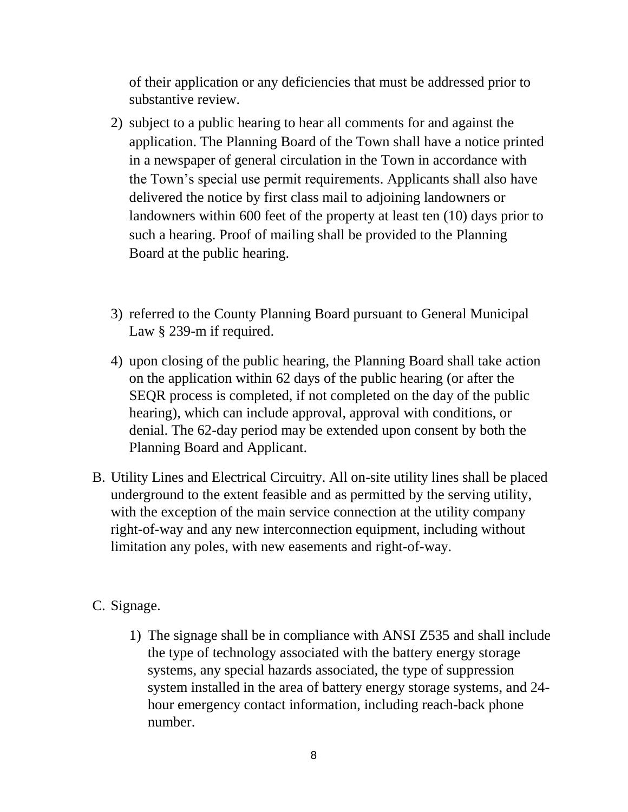of their application or any deficiencies that must be addressed prior to substantive review.

- 2) subject to a public hearing to hear all comments for and against the application. The Planning Board of the Town shall have a notice printed in a newspaper of general circulation in the Town in accordance with the Town's special use permit requirements. Applicants shall also have delivered the notice by first class mail to adjoining landowners or landowners within 600 feet of the property at least ten (10) days prior to such a hearing. Proof of mailing shall be provided to the Planning Board at the public hearing.
- 3) referred to the County Planning Board pursuant to General Municipal Law § 239-m if required.
- 4) upon closing of the public hearing, the Planning Board shall take action on the application within 62 days of the public hearing (or after the SEQR process is completed, if not completed on the day of the public hearing), which can include approval, approval with conditions, or denial. The 62-day period may be extended upon consent by both the Planning Board and Applicant.
- B. Utility Lines and Electrical Circuitry. All on-site utility lines shall be placed underground to the extent feasible and as permitted by the serving utility, with the exception of the main service connection at the utility company right-of-way and any new interconnection equipment, including without limitation any poles, with new easements and right-of-way.
- C. Signage.
	- 1) The signage shall be in compliance with ANSI Z535 and shall include the type of technology associated with the battery energy storage systems, any special hazards associated, the type of suppression system installed in the area of battery energy storage systems, and 24 hour emergency contact information, including reach-back phone number.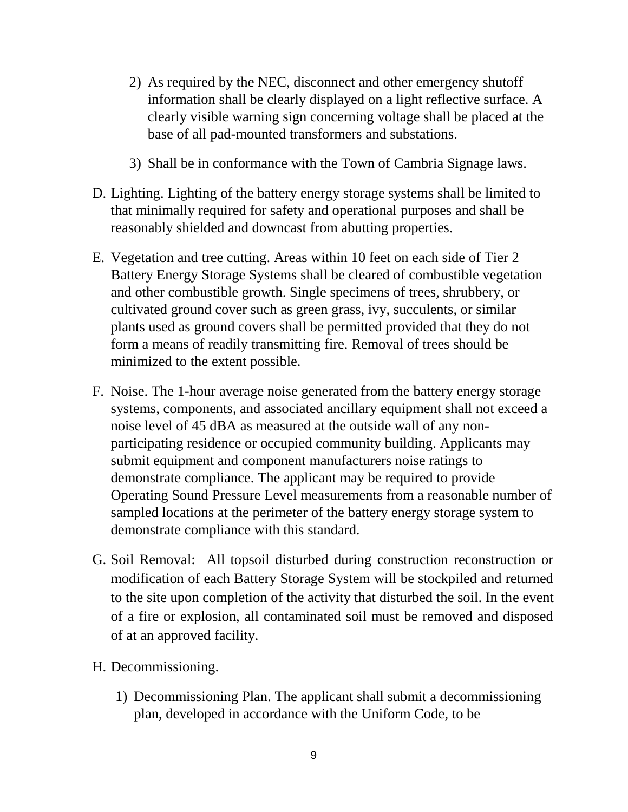- 2) As required by the NEC, disconnect and other emergency shutoff information shall be clearly displayed on a light reflective surface. A clearly visible warning sign concerning voltage shall be placed at the base of all pad-mounted transformers and substations.
- 3) Shall be in conformance with the Town of Cambria Signage laws.
- D. Lighting. Lighting of the battery energy storage systems shall be limited to that minimally required for safety and operational purposes and shall be reasonably shielded and downcast from abutting properties.
- E. Vegetation and tree cutting. Areas within 10 feet on each side of Tier 2 Battery Energy Storage Systems shall be cleared of combustible vegetation and other combustible growth. Single specimens of trees, shrubbery, or cultivated ground cover such as green grass, ivy, succulents, or similar plants used as ground covers shall be permitted provided that they do not form a means of readily transmitting fire. Removal of trees should be minimized to the extent possible.
- F. Noise. The 1-hour average noise generated from the battery energy storage systems, components, and associated ancillary equipment shall not exceed a noise level of 45 dBA as measured at the outside wall of any nonparticipating residence or occupied community building. Applicants may submit equipment and component manufacturers noise ratings to demonstrate compliance. The applicant may be required to provide Operating Sound Pressure Level measurements from a reasonable number of sampled locations at the perimeter of the battery energy storage system to demonstrate compliance with this standard.
- G. Soil Removal: All topsoil disturbed during construction reconstruction or modification of each Battery Storage System will be stockpiled and returned to the site upon completion of the activity that disturbed the soil. In the event of a fire or explosion, all contaminated soil must be removed and disposed of at an approved facility.
- H. Decommissioning.
	- 1) Decommissioning Plan. The applicant shall submit a decommissioning plan, developed in accordance with the Uniform Code, to be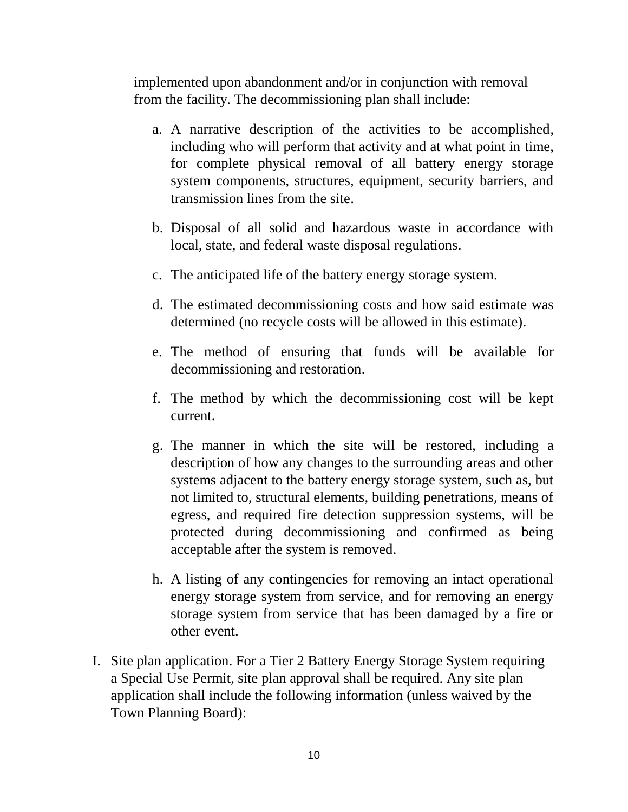implemented upon abandonment and/or in conjunction with removal from the facility. The decommissioning plan shall include:

- a. A narrative description of the activities to be accomplished, including who will perform that activity and at what point in time, for complete physical removal of all battery energy storage system components, structures, equipment, security barriers, and transmission lines from the site.
- b. Disposal of all solid and hazardous waste in accordance with local, state, and federal waste disposal regulations.
- c. The anticipated life of the battery energy storage system.
- d. The estimated decommissioning costs and how said estimate was determined (no recycle costs will be allowed in this estimate).
- e. The method of ensuring that funds will be available for decommissioning and restoration.
- f. The method by which the decommissioning cost will be kept current.
- g. The manner in which the site will be restored, including a description of how any changes to the surrounding areas and other systems adjacent to the battery energy storage system, such as, but not limited to, structural elements, building penetrations, means of egress, and required fire detection suppression systems, will be protected during decommissioning and confirmed as being acceptable after the system is removed.
- h. A listing of any contingencies for removing an intact operational energy storage system from service, and for removing an energy storage system from service that has been damaged by a fire or other event.
- I. Site plan application. For a Tier 2 Battery Energy Storage System requiring a Special Use Permit, site plan approval shall be required. Any site plan application shall include the following information (unless waived by the Town Planning Board):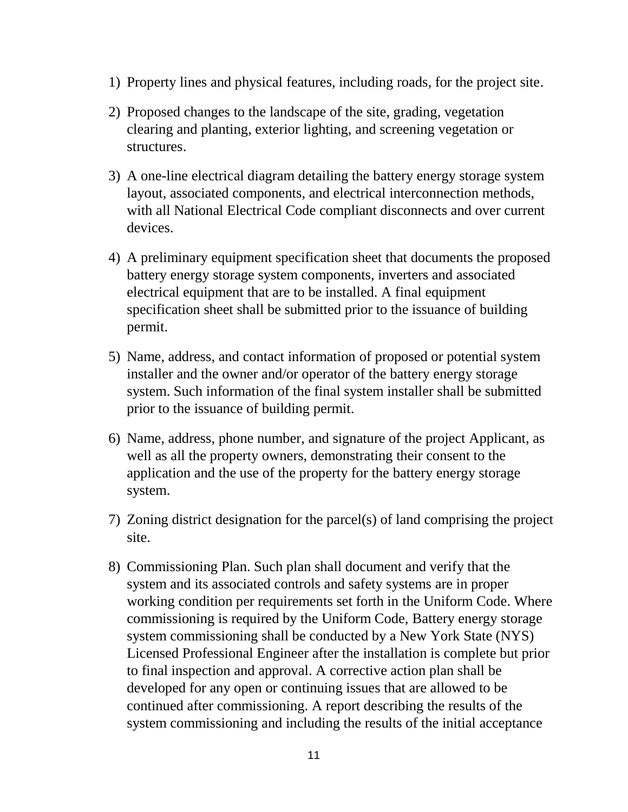- 1) Property lines and physical features, including roads, for the project site.
- 2) Proposed changes to the landscape of the site, grading, vegetation clearing and planting, exterior lighting, and screening vegetation or structures.
- 3) A one-line electrical diagram detailing the battery energy storage system layout, associated components, and electrical interconnection methods, with all National Electrical Code compliant disconnects and over current devices.
- 4) A preliminary equipment specification sheet that documents the proposed battery energy storage system components, inverters and associated electrical equipment that are to be installed. A final equipment specification sheet shall be submitted prior to the issuance of building permit.
- 5) Name, address, and contact information of proposed or potential system installer and the owner and/or operator of the battery energy storage system. Such information of the final system installer shall be submitted prior to the issuance of building permit.
- 6) Name, address, phone number, and signature of the project Applicant, as well as all the property owners, demonstrating their consent to the application and the use of the property for the battery energy storage system.
- 7) Zoning district designation for the parcel(s) of land comprising the project site.
- 8) Commissioning Plan. Such plan shall document and verify that the system and its associated controls and safety systems are in proper working condition per requirements set forth in the Uniform Code. Where commissioning is required by the Uniform Code, Battery energy storage system commissioning shall be conducted by a New York State (NYS) Licensed Professional Engineer after the installation is complete but prior to final inspection and approval. A corrective action plan shall be developed for any open or continuing issues that are allowed to be continued after commissioning. A report describing the results of the system commissioning and including the results of the initial acceptance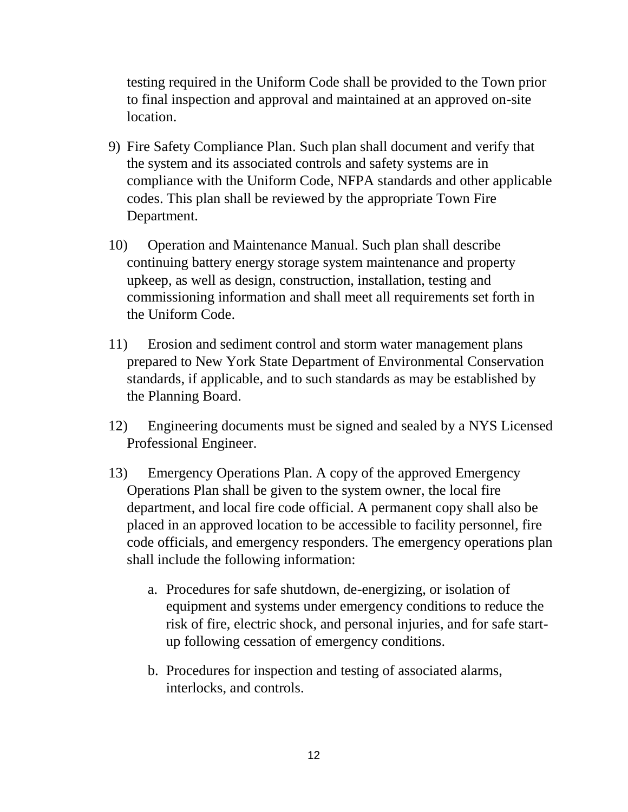testing required in the Uniform Code shall be provided to the Town prior to final inspection and approval and maintained at an approved on-site location.

- 9) Fire Safety Compliance Plan. Such plan shall document and verify that the system and its associated controls and safety systems are in compliance with the Uniform Code, NFPA standards and other applicable codes. This plan shall be reviewed by the appropriate Town Fire Department.
- 10) Operation and Maintenance Manual. Such plan shall describe continuing battery energy storage system maintenance and property upkeep, as well as design, construction, installation, testing and commissioning information and shall meet all requirements set forth in the Uniform Code.
- 11) Erosion and sediment control and storm water management plans prepared to New York State Department of Environmental Conservation standards, if applicable, and to such standards as may be established by the Planning Board.
- 12) Engineering documents must be signed and sealed by a NYS Licensed Professional Engineer.
- 13) Emergency Operations Plan. A copy of the approved Emergency Operations Plan shall be given to the system owner, the local fire department, and local fire code official. A permanent copy shall also be placed in an approved location to be accessible to facility personnel, fire code officials, and emergency responders. The emergency operations plan shall include the following information:
	- a. Procedures for safe shutdown, de-energizing, or isolation of equipment and systems under emergency conditions to reduce the risk of fire, electric shock, and personal injuries, and for safe startup following cessation of emergency conditions.
	- b. Procedures for inspection and testing of associated alarms, interlocks, and controls.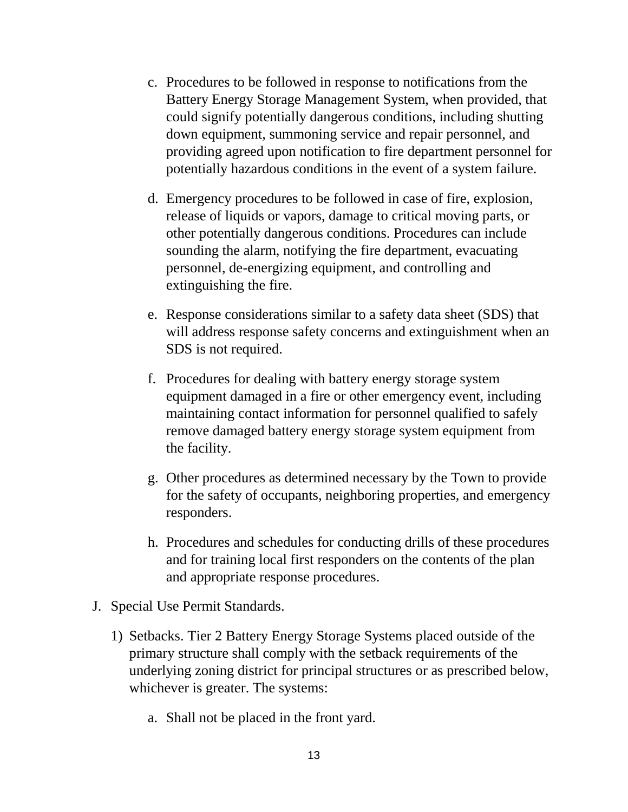- c. Procedures to be followed in response to notifications from the Battery Energy Storage Management System, when provided, that could signify potentially dangerous conditions, including shutting down equipment, summoning service and repair personnel, and providing agreed upon notification to fire department personnel for potentially hazardous conditions in the event of a system failure.
- d. Emergency procedures to be followed in case of fire, explosion, release of liquids or vapors, damage to critical moving parts, or other potentially dangerous conditions. Procedures can include sounding the alarm, notifying the fire department, evacuating personnel, de-energizing equipment, and controlling and extinguishing the fire.
- e. Response considerations similar to a safety data sheet (SDS) that will address response safety concerns and extinguishment when an SDS is not required.
- f. Procedures for dealing with battery energy storage system equipment damaged in a fire or other emergency event, including maintaining contact information for personnel qualified to safely remove damaged battery energy storage system equipment from the facility.
- g. Other procedures as determined necessary by the Town to provide for the safety of occupants, neighboring properties, and emergency responders.
- h. Procedures and schedules for conducting drills of these procedures and for training local first responders on the contents of the plan and appropriate response procedures.
- J. Special Use Permit Standards.
	- 1) Setbacks. Tier 2 Battery Energy Storage Systems placed outside of the primary structure shall comply with the setback requirements of the underlying zoning district for principal structures or as prescribed below, whichever is greater. The systems:
		- a. Shall not be placed in the front yard.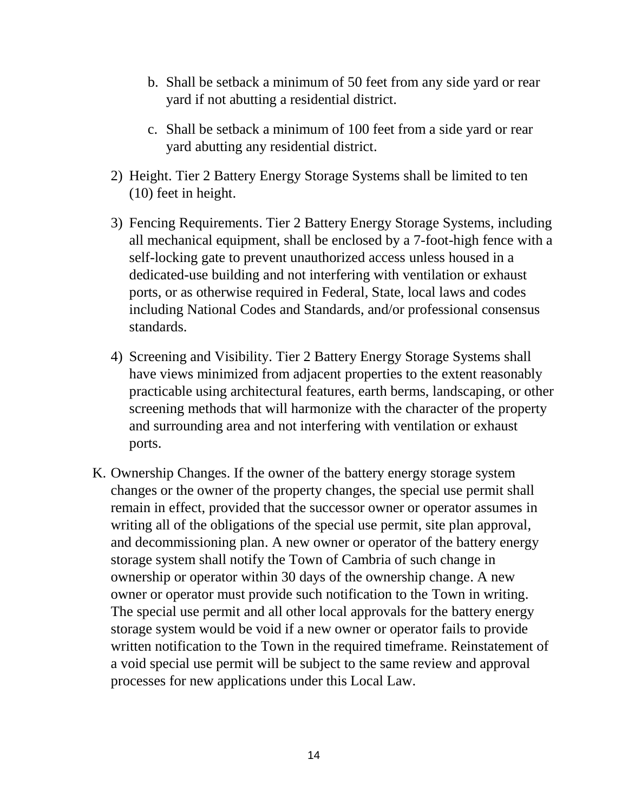- b. Shall be setback a minimum of 50 feet from any side yard or rear yard if not abutting a residential district.
- c. Shall be setback a minimum of 100 feet from a side yard or rear yard abutting any residential district.
- 2) Height. Tier 2 Battery Energy Storage Systems shall be limited to ten (10) feet in height.
- 3) Fencing Requirements. Tier 2 Battery Energy Storage Systems, including all mechanical equipment, shall be enclosed by a 7-foot-high fence with a self-locking gate to prevent unauthorized access unless housed in a dedicated-use building and not interfering with ventilation or exhaust ports, or as otherwise required in Federal, State, local laws and codes including National Codes and Standards, and/or professional consensus standards.
- 4) Screening and Visibility. Tier 2 Battery Energy Storage Systems shall have views minimized from adjacent properties to the extent reasonably practicable using architectural features, earth berms, landscaping, or other screening methods that will harmonize with the character of the property and surrounding area and not interfering with ventilation or exhaust ports.
- K. Ownership Changes. If the owner of the battery energy storage system changes or the owner of the property changes, the special use permit shall remain in effect, provided that the successor owner or operator assumes in writing all of the obligations of the special use permit, site plan approval, and decommissioning plan. A new owner or operator of the battery energy storage system shall notify the Town of Cambria of such change in ownership or operator within 30 days of the ownership change. A new owner or operator must provide such notification to the Town in writing. The special use permit and all other local approvals for the battery energy storage system would be void if a new owner or operator fails to provide written notification to the Town in the required timeframe. Reinstatement of a void special use permit will be subject to the same review and approval processes for new applications under this Local Law.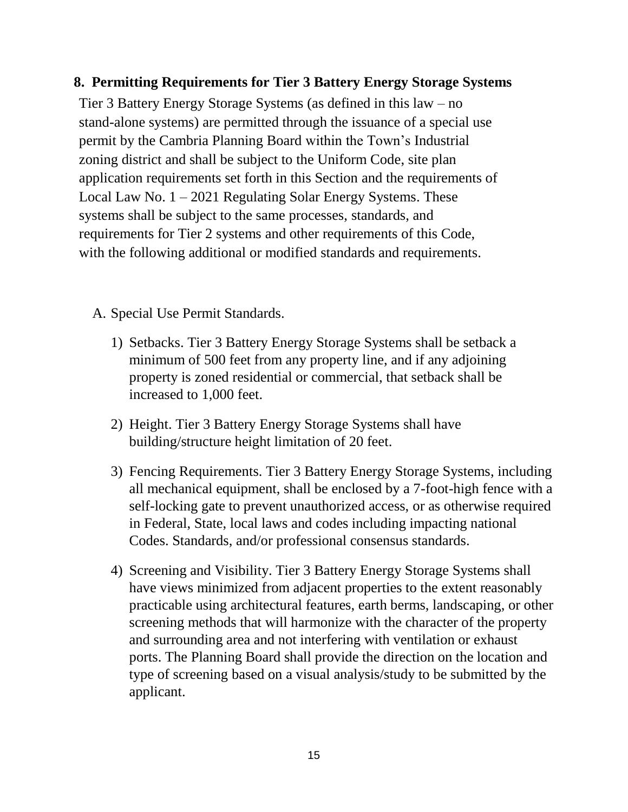#### **8. Permitting Requirements for Tier 3 Battery Energy Storage Systems**

Tier 3 Battery Energy Storage Systems (as defined in this law – no stand-alone systems) are permitted through the issuance of a special use permit by the Cambria Planning Board within the Town's Industrial zoning district and shall be subject to the Uniform Code, site plan application requirements set forth in this Section and the requirements of Local Law No. 1 – 2021 Regulating Solar Energy Systems. These systems shall be subject to the same processes, standards, and requirements for Tier 2 systems and other requirements of this Code, with the following additional or modified standards and requirements.

A. Special Use Permit Standards.

- 1) Setbacks. Tier 3 Battery Energy Storage Systems shall be setback a minimum of 500 feet from any property line, and if any adjoining property is zoned residential or commercial, that setback shall be increased to 1,000 feet.
- 2) Height. Tier 3 Battery Energy Storage Systems shall have building/structure height limitation of 20 feet.
- 3) Fencing Requirements. Tier 3 Battery Energy Storage Systems, including all mechanical equipment, shall be enclosed by a 7-foot-high fence with a self-locking gate to prevent unauthorized access, or as otherwise required in Federal, State, local laws and codes including impacting national Codes. Standards, and/or professional consensus standards.
- 4) Screening and Visibility. Tier 3 Battery Energy Storage Systems shall have views minimized from adjacent properties to the extent reasonably practicable using architectural features, earth berms, landscaping, or other screening methods that will harmonize with the character of the property and surrounding area and not interfering with ventilation or exhaust ports. The Planning Board shall provide the direction on the location and type of screening based on a visual analysis/study to be submitted by the applicant.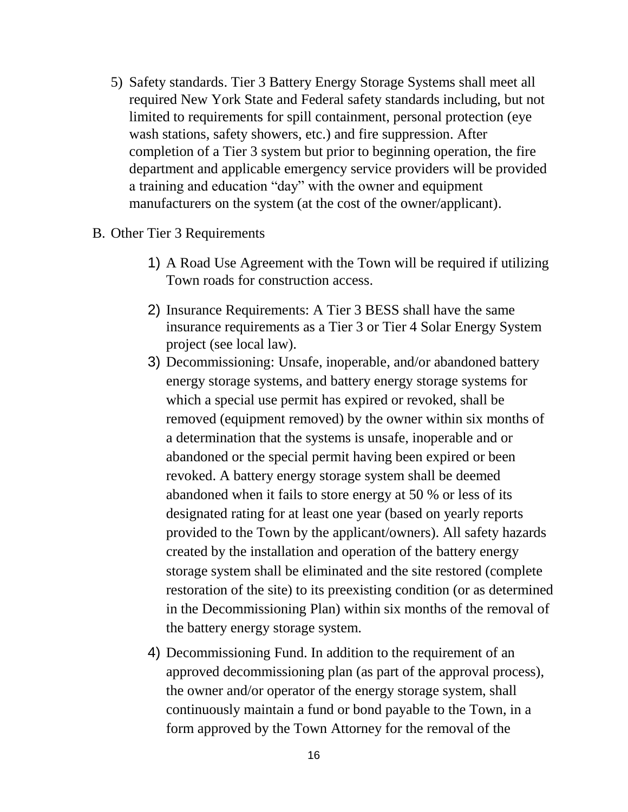- 5) Safety standards. Tier 3 Battery Energy Storage Systems shall meet all required New York State and Federal safety standards including, but not limited to requirements for spill containment, personal protection (eye wash stations, safety showers, etc.) and fire suppression. After completion of a Tier 3 system but prior to beginning operation, the fire department and applicable emergency service providers will be provided a training and education "day" with the owner and equipment manufacturers on the system (at the cost of the owner/applicant).
- B. Other Tier 3 Requirements
	- 1) A Road Use Agreement with the Town will be required if utilizing Town roads for construction access.
	- 2) Insurance Requirements: A Tier 3 BESS shall have the same insurance requirements as a Tier 3 or Tier 4 Solar Energy System project (see local law).
	- 3) Decommissioning: Unsafe, inoperable, and/or abandoned battery energy storage systems, and battery energy storage systems for which a special use permit has expired or revoked, shall be removed (equipment removed) by the owner within six months of a determination that the systems is unsafe, inoperable and or abandoned or the special permit having been expired or been revoked. A battery energy storage system shall be deemed abandoned when it fails to store energy at 50 % or less of its designated rating for at least one year (based on yearly reports provided to the Town by the applicant/owners). All safety hazards created by the installation and operation of the battery energy storage system shall be eliminated and the site restored (complete restoration of the site) to its preexisting condition (or as determined in the Decommissioning Plan) within six months of the removal of the battery energy storage system.
	- 4) Decommissioning Fund. In addition to the requirement of an approved decommissioning plan (as part of the approval process), the owner and/or operator of the energy storage system, shall continuously maintain a fund or bond payable to the Town, in a form approved by the Town Attorney for the removal of the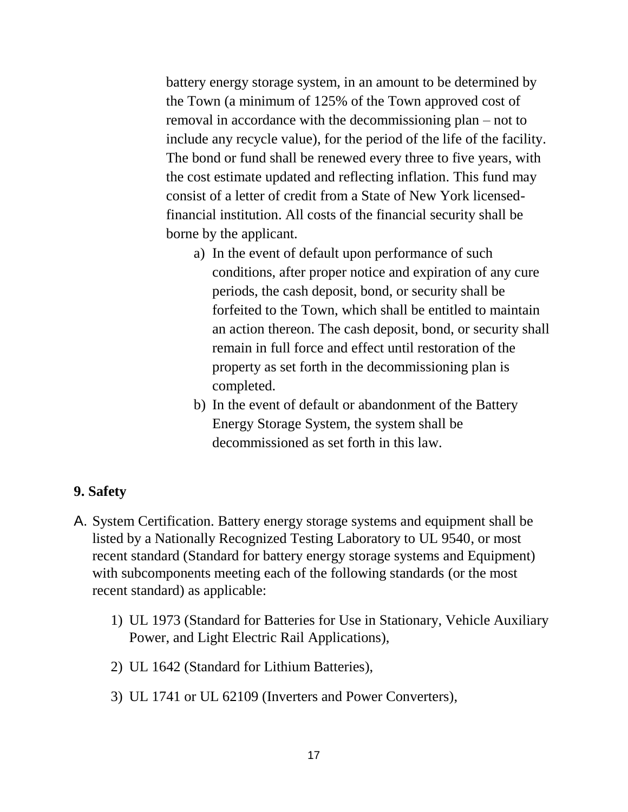battery energy storage system, in an amount to be determined by the Town (a minimum of 125% of the Town approved cost of removal in accordance with the decommissioning plan – not to include any recycle value), for the period of the life of the facility. The bond or fund shall be renewed every three to five years, with the cost estimate updated and reflecting inflation. This fund may consist of a letter of credit from a State of New York licensedfinancial institution. All costs of the financial security shall be borne by the applicant.

- a) In the event of default upon performance of such conditions, after proper notice and expiration of any cure periods, the cash deposit, bond, or security shall be forfeited to the Town, which shall be entitled to maintain an action thereon. The cash deposit, bond, or security shall remain in full force and effect until restoration of the property as set forth in the decommissioning plan is completed.
- b) In the event of default or abandonment of the Battery Energy Storage System, the system shall be decommissioned as set forth in this law.

#### **9. Safety**

- A. System Certification. Battery energy storage systems and equipment shall be listed by a Nationally Recognized Testing Laboratory to UL 9540, or most recent standard (Standard for battery energy storage systems and Equipment) with subcomponents meeting each of the following standards (or the most recent standard) as applicable:
	- 1) UL 1973 (Standard for Batteries for Use in Stationary, Vehicle Auxiliary Power, and Light Electric Rail Applications),
	- 2) UL 1642 (Standard for Lithium Batteries),
	- 3) UL 1741 or UL 62109 (Inverters and Power Converters),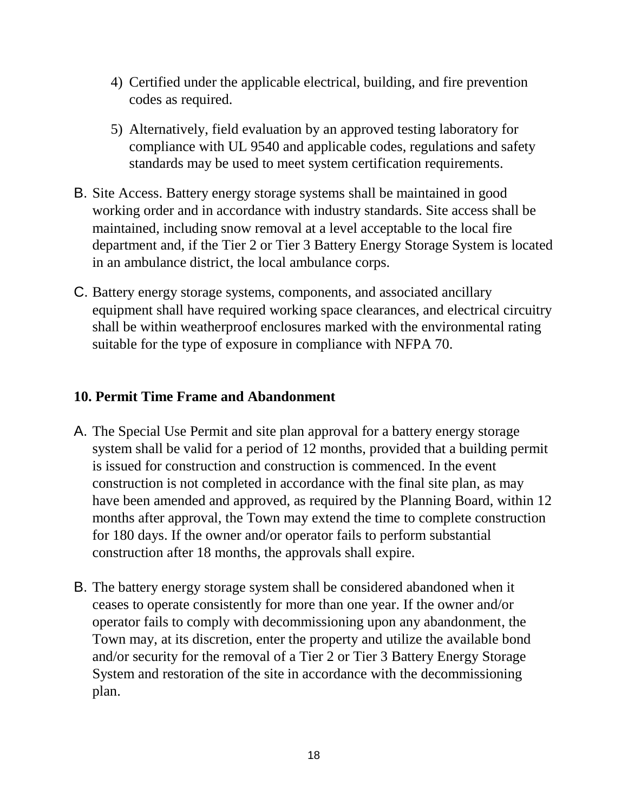- 4) Certified under the applicable electrical, building, and fire prevention codes as required.
- 5) Alternatively, field evaluation by an approved testing laboratory for compliance with UL 9540 and applicable codes, regulations and safety standards may be used to meet system certification requirements.
- B. Site Access. Battery energy storage systems shall be maintained in good working order and in accordance with industry standards. Site access shall be maintained, including snow removal at a level acceptable to the local fire department and, if the Tier 2 or Tier 3 Battery Energy Storage System is located in an ambulance district, the local ambulance corps.
- C. Battery energy storage systems, components, and associated ancillary equipment shall have required working space clearances, and electrical circuitry shall be within weatherproof enclosures marked with the environmental rating suitable for the type of exposure in compliance with NFPA 70.

### **10. Permit Time Frame and Abandonment**

- A. The Special Use Permit and site plan approval for a battery energy storage system shall be valid for a period of 12 months, provided that a building permit is issued for construction and construction is commenced. In the event construction is not completed in accordance with the final site plan, as may have been amended and approved, as required by the Planning Board, within 12 months after approval, the Town may extend the time to complete construction for 180 days. If the owner and/or operator fails to perform substantial construction after 18 months, the approvals shall expire.
- B. The battery energy storage system shall be considered abandoned when it ceases to operate consistently for more than one year. If the owner and/or operator fails to comply with decommissioning upon any abandonment, the Town may, at its discretion, enter the property and utilize the available bond and/or security for the removal of a Tier 2 or Tier 3 Battery Energy Storage System and restoration of the site in accordance with the decommissioning plan.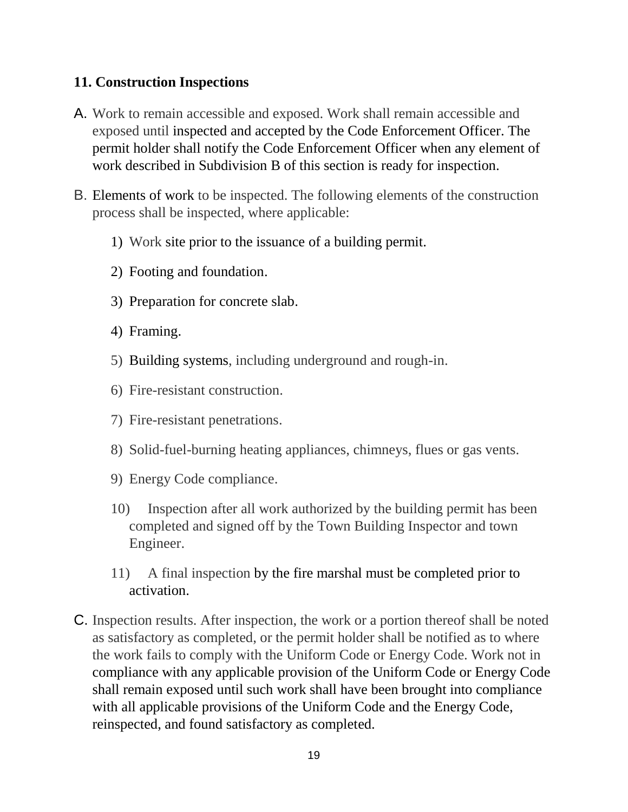#### **11. Construction Inspections**

- A. Work to remain accessible and exposed. Work shall remain accessible and exposed until inspected and accepted by the Code Enforcement Officer. The permit holder shall notify the Code Enforcement Officer when any element of work described in Subdivision B of this section is ready for inspection.
- B. Elements of work to be inspected. The following elements of the construction process shall be inspected, where applicable:
	- 1) Work site prior to the issuance of a building permit.
	- 2) Footing and foundation.
	- 3) Preparation for concrete slab.
	- 4) Framing.
	- 5) Building systems, including underground and rough-in.
	- 6) Fire-resistant construction.
	- 7) Fire-resistant penetrations.
	- 8) Solid-fuel-burning heating appliances, chimneys, flues or gas vents.
	- 9) Energy Code compliance.
	- 10) Inspection after all work authorized by the building permit has been completed and signed off by the Town Building Inspector and town Engineer.
	- 11) A final inspection by the fire marshal must be completed prior to activation.
- C. Inspection results. After inspection, the work or a portion thereof shall be noted as satisfactory as completed, or the permit holder shall be notified as to where the work fails to comply with the Uniform Code or Energy Code. Work not in compliance with any applicable provision of the Uniform Code or Energy Code shall remain exposed until such work shall have been brought into compliance with all applicable provisions of the Uniform Code and the Energy Code, reinspected, and found satisfactory as completed.